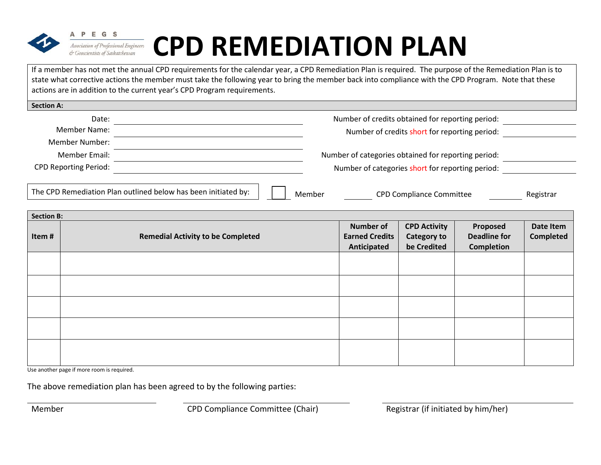

PEGS

# **CPD REMEDIATION PLAN**

If a member has not met the annual CPD requirements for the calendar year, a CPD Remediation Plan is required. The purpose of the Remediation Plan is to state what corrective actions the member must take the following year to bring the member back into compliance with the CPD Program. Note that these actions are in addition to the current year's CPD Program requirements.

| Number of credits obtained for reporting period:    | Date:                        |
|-----------------------------------------------------|------------------------------|
| Number of credits short for reporting period:       | <b>Member Name:</b>          |
|                                                     | <b>Member Number:</b>        |
| Number of categories obtained for reporting period: | Member Email:                |
| Number of categories short for reporting period:    | <b>CPD Reporting Period:</b> |
|                                                     |                              |

| The CPD Remediation Plan outlined below has been initiated by: |  | Member | <b>CPD Compliance Committee</b> | Registrar |
|----------------------------------------------------------------|--|--------|---------------------------------|-----------|
|                                                                |  |        |                                 |           |

| <b>Section B:</b> |                                          |                                                          |                                                          |                                                      |                               |  |  |
|-------------------|------------------------------------------|----------------------------------------------------------|----------------------------------------------------------|------------------------------------------------------|-------------------------------|--|--|
| Item#             | <b>Remedial Activity to be Completed</b> | <b>Number of</b><br><b>Earned Credits</b><br>Anticipated | <b>CPD Activity</b><br><b>Category to</b><br>be Credited | Proposed<br><b>Deadline for</b><br><b>Completion</b> | Date Item<br><b>Completed</b> |  |  |
|                   |                                          |                                                          |                                                          |                                                      |                               |  |  |
|                   |                                          |                                                          |                                                          |                                                      |                               |  |  |
|                   |                                          |                                                          |                                                          |                                                      |                               |  |  |
|                   |                                          |                                                          |                                                          |                                                      |                               |  |  |
|                   |                                          |                                                          |                                                          |                                                      |                               |  |  |

Use another page if more room is required.

The above remediation plan has been agreed to by the following parties:

Member CPD Compliance Committee (Chair) Registrar (if initiated by him/her)